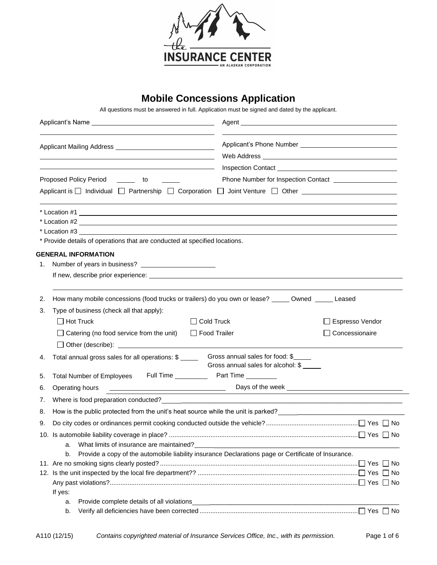

# **Mobile Concessions Application**

All questions must be answered in full. Application must be signed and dated by the applicant.

|    |                                                                                                                                                                                                                                   | Agent                                                                                                                |
|----|-----------------------------------------------------------------------------------------------------------------------------------------------------------------------------------------------------------------------------------|----------------------------------------------------------------------------------------------------------------------|
|    |                                                                                                                                                                                                                                   |                                                                                                                      |
|    | <u> 1980 - Johann Barn, fransk politik (d. 1980)</u>                                                                                                                                                                              |                                                                                                                      |
|    | <u> 1989 - John Stone, amerikansk politiker († 1908)</u>                                                                                                                                                                          |                                                                                                                      |
|    | Proposed Policy Period<br><b>Contract Contract</b><br>to                                                                                                                                                                          |                                                                                                                      |
|    | Applicant is □ Individual □ Partnership □ Corporation □ Joint Venture □ Other _____________________                                                                                                                               |                                                                                                                      |
|    | $\star$ Location #1                                                                                                                                                                                                               |                                                                                                                      |
|    | * Location #2                                                                                                                                                                                                                     |                                                                                                                      |
|    |                                                                                                                                                                                                                                   |                                                                                                                      |
|    | * Provide details of operations that are conducted at specified locations.                                                                                                                                                        |                                                                                                                      |
|    | <b>GENERAL INFORMATION</b>                                                                                                                                                                                                        |                                                                                                                      |
|    |                                                                                                                                                                                                                                   |                                                                                                                      |
|    |                                                                                                                                                                                                                                   |                                                                                                                      |
| 2. | How many mobile concessions (food trucks or trailers) do you own or lease? _____ Owned _____ Leased                                                                                                                               |                                                                                                                      |
| 3. | Type of business (check all that apply):                                                                                                                                                                                          |                                                                                                                      |
|    | $\Box$ Hot Truck<br>$\Box$ Cold Truck                                                                                                                                                                                             | □ Espresso Vendor                                                                                                    |
|    | $\Box$ Catering (no food service from the unit)<br>□ Food Trailer                                                                                                                                                                 | Concessionaire                                                                                                       |
|    | □ Other (describe): <u>● Other (describe)</u> and the set of the set of the set of the set of the set of the set of the set of the set of the set of the set of the set of the set of the set of the set of the set of the set of |                                                                                                                      |
| 4. | Total annual gross sales for all operations: \$                                                                                                                                                                                   | Gross annual sales for food: \$<br>Gross annual sales for alcohol: \$                                                |
| 5. | Full Time <b>No. 1998</b> Part Time <b>No. 1998</b><br><b>Total Number of Employees</b>                                                                                                                                           |                                                                                                                      |
| 6. | Operating hours                                                                                                                                                                                                                   |                                                                                                                      |
| 7. |                                                                                                                                                                                                                                   | Days of the week <b>week CONSIDENT AND THE CONSIDER AND THE CONSIDERATION</b>                                        |
| 8. | How is the public protected from the unit's heat source while the unit is parked? ____________________________                                                                                                                    |                                                                                                                      |
| 9. |                                                                                                                                                                                                                                   |                                                                                                                      |
|    |                                                                                                                                                                                                                                   |                                                                                                                      |
|    | a.                                                                                                                                                                                                                                |                                                                                                                      |
|    | Provide a copy of the automobile liability insurance Declarations page or Certificate of Insurance.<br>b.                                                                                                                         |                                                                                                                      |
|    |                                                                                                                                                                                                                                   |                                                                                                                      |
|    |                                                                                                                                                                                                                                   |                                                                                                                      |
|    |                                                                                                                                                                                                                                   |                                                                                                                      |
|    | If yes:<br>Provide complete details of all violations<br>a.                                                                                                                                                                       | <u> 1989 - Johann Stein, mars an deutscher Stein und der Stein und der Stein und der Stein und der Stein und der</u> |
|    | b.                                                                                                                                                                                                                                |                                                                                                                      |
|    |                                                                                                                                                                                                                                   |                                                                                                                      |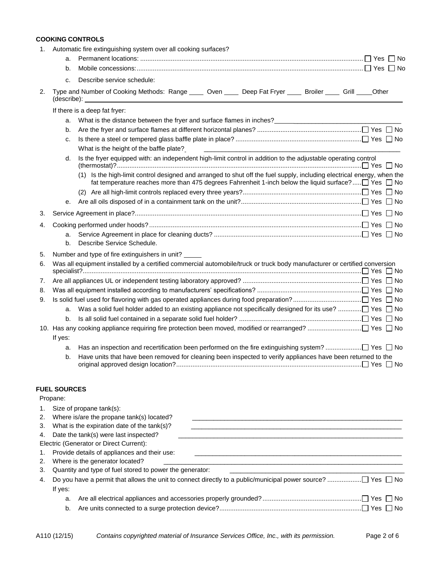# **COOKING CONTROLS**

| a.<br>b.<br>Describe service schedule:<br>c.<br>Type and Number of Cooking Methods: Range _____ Oven _____ Deep Fat Fryer _____ Broiler _____ Grill _____ Other<br>If there is a deep fat fryer:<br>What is the distance between the fryer and surface flames in inches?<br>The matter of the distance between the fryer and surface flames in inches?<br>a.<br>b.<br>c.<br>What is the height of the baffle plate?<br>Is the fryer equipped with: an independent high-limit control in addition to the adjustable operating control<br>d.<br>(1) Is the high-limit control designed and arranged to shut off the fuel supply, including electrical energy, when the<br>fat temperature reaches more than 475 degrees Fahrenheit 1-inch below the liquid surface? $\Box$ Yes $\Box$ No<br>е. |
|----------------------------------------------------------------------------------------------------------------------------------------------------------------------------------------------------------------------------------------------------------------------------------------------------------------------------------------------------------------------------------------------------------------------------------------------------------------------------------------------------------------------------------------------------------------------------------------------------------------------------------------------------------------------------------------------------------------------------------------------------------------------------------------------|
|                                                                                                                                                                                                                                                                                                                                                                                                                                                                                                                                                                                                                                                                                                                                                                                              |
|                                                                                                                                                                                                                                                                                                                                                                                                                                                                                                                                                                                                                                                                                                                                                                                              |
|                                                                                                                                                                                                                                                                                                                                                                                                                                                                                                                                                                                                                                                                                                                                                                                              |
|                                                                                                                                                                                                                                                                                                                                                                                                                                                                                                                                                                                                                                                                                                                                                                                              |
|                                                                                                                                                                                                                                                                                                                                                                                                                                                                                                                                                                                                                                                                                                                                                                                              |
|                                                                                                                                                                                                                                                                                                                                                                                                                                                                                                                                                                                                                                                                                                                                                                                              |
|                                                                                                                                                                                                                                                                                                                                                                                                                                                                                                                                                                                                                                                                                                                                                                                              |
|                                                                                                                                                                                                                                                                                                                                                                                                                                                                                                                                                                                                                                                                                                                                                                                              |
|                                                                                                                                                                                                                                                                                                                                                                                                                                                                                                                                                                                                                                                                                                                                                                                              |
|                                                                                                                                                                                                                                                                                                                                                                                                                                                                                                                                                                                                                                                                                                                                                                                              |
|                                                                                                                                                                                                                                                                                                                                                                                                                                                                                                                                                                                                                                                                                                                                                                                              |
|                                                                                                                                                                                                                                                                                                                                                                                                                                                                                                                                                                                                                                                                                                                                                                                              |
|                                                                                                                                                                                                                                                                                                                                                                                                                                                                                                                                                                                                                                                                                                                                                                                              |
|                                                                                                                                                                                                                                                                                                                                                                                                                                                                                                                                                                                                                                                                                                                                                                                              |
|                                                                                                                                                                                                                                                                                                                                                                                                                                                                                                                                                                                                                                                                                                                                                                                              |
| a.                                                                                                                                                                                                                                                                                                                                                                                                                                                                                                                                                                                                                                                                                                                                                                                           |
| Describe Service Schedule.<br>b.                                                                                                                                                                                                                                                                                                                                                                                                                                                                                                                                                                                                                                                                                                                                                             |
| Number and type of fire extinguishers in unit?                                                                                                                                                                                                                                                                                                                                                                                                                                                                                                                                                                                                                                                                                                                                               |
| Was all equipment installed by a certified commercial automobile/truck or truck body manufacturer or certified conversion                                                                                                                                                                                                                                                                                                                                                                                                                                                                                                                                                                                                                                                                    |
|                                                                                                                                                                                                                                                                                                                                                                                                                                                                                                                                                                                                                                                                                                                                                                                              |
|                                                                                                                                                                                                                                                                                                                                                                                                                                                                                                                                                                                                                                                                                                                                                                                              |
|                                                                                                                                                                                                                                                                                                                                                                                                                                                                                                                                                                                                                                                                                                                                                                                              |
| a.                                                                                                                                                                                                                                                                                                                                                                                                                                                                                                                                                                                                                                                                                                                                                                                           |
| b.                                                                                                                                                                                                                                                                                                                                                                                                                                                                                                                                                                                                                                                                                                                                                                                           |
|                                                                                                                                                                                                                                                                                                                                                                                                                                                                                                                                                                                                                                                                                                                                                                                              |
| If yes:                                                                                                                                                                                                                                                                                                                                                                                                                                                                                                                                                                                                                                                                                                                                                                                      |
| a.                                                                                                                                                                                                                                                                                                                                                                                                                                                                                                                                                                                                                                                                                                                                                                                           |
| Have units that have been removed for cleaning been inspected to verify appliances have been returned to the<br>b.                                                                                                                                                                                                                                                                                                                                                                                                                                                                                                                                                                                                                                                                           |
| <b>FUEL SOURCES</b>                                                                                                                                                                                                                                                                                                                                                                                                                                                                                                                                                                                                                                                                                                                                                                          |

| 1. | Size of propane tank(s):                                 |
|----|----------------------------------------------------------|
| 2. | Where is/are the propane tank(s) located?                |
| 3. | What is the expiration date of the tank(s)?              |
|    | 4. Date the tank(s) were last inspected?                 |
|    | Electric (Generator or Direct Current):                  |
| 1. | Provide details of appliances and their use:             |
| 2. | Where is the generator located?                          |
| 3. | Quantity and type of fuel stored to power the generator: |
| 4. |                                                          |
|    | If yes:                                                  |
|    | a.                                                       |
|    | b.                                                       |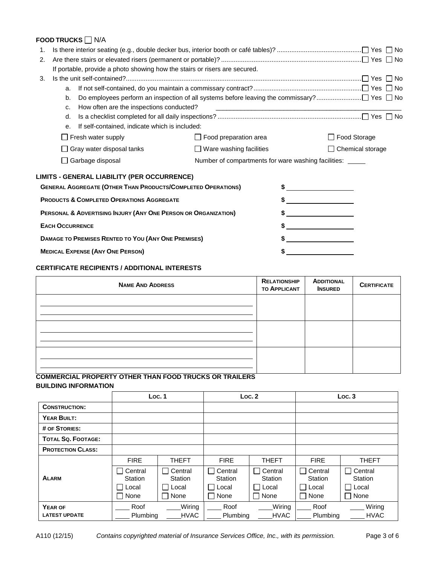# **FOOD TRUCKS □ N/A**

| 1. |                                                                            |                                |                                                           |
|----|----------------------------------------------------------------------------|--------------------------------|-----------------------------------------------------------|
| 2. |                                                                            |                                |                                                           |
|    | If portable, provide a photo showing how the stairs or risers are secured. |                                |                                                           |
| 3. |                                                                            |                                |                                                           |
|    | a.                                                                         |                                |                                                           |
|    | b.                                                                         |                                |                                                           |
|    | How often are the inspections conducted?<br>c.                             |                                |                                                           |
|    | d.                                                                         |                                |                                                           |
|    | If self-contained, indicate which is included:<br>е.                       |                                |                                                           |
|    | $\Box$ Fresh water supply                                                  | $\Box$ Food preparation area   | □ Food Storage                                            |
|    | $\Box$ Gray water disposal tanks                                           | $\Box$ Ware washing facilities | $\Box$ Chemical storage                                   |
|    | Garbage disposal                                                           |                                | Number of compartments for ware washing facilities: _____ |
|    | <b>LIMITS - GENERAL LIABILITY (PER OCCURRENCE)</b>                         |                                |                                                           |
|    | <b>GENERAL AGGREGATE (OTHER THAN PRODUCTS/COMPLETED OPERATIONS)</b>        |                                | $\frac{1}{2}$                                             |
|    | <b>PRODUCTS &amp; COMPLETED OPERATIONS AGGREGATE</b>                       |                                | $\frac{1}{2}$                                             |
|    | PERSONAL & ADVERTISING INJURY (ANY ONE PERSON OR ORGANIZATION)             |                                |                                                           |
|    | <b>EACH OCCURRENCE</b>                                                     |                                | $\frac{1}{2}$                                             |
|    | DAMAGE TO PREMISES RENTED TO YOU (ANY ONE PREMISES)                        |                                | $\frac{1}{2}$                                             |
|    | <b>MEDICAL EXPENSE (ANY ONE PERSON)</b>                                    |                                |                                                           |

# **CERTIFICATE RECIPIENTS / ADDITIONAL INTERESTS**

| <b>NAME AND ADDRESS</b> | <b>RELATIONSHIP</b><br><b>TO APPLICANT</b> | <b>ADDITIONAL</b><br><b>INSURED</b> | <b>CERTIFICATE</b> |
|-------------------------|--------------------------------------------|-------------------------------------|--------------------|
|                         |                                            |                                     |                    |
|                         |                                            |                                     |                    |
|                         |                                            |                                     |                    |
|                         |                                            |                                     |                    |
|                         |                                            |                                     |                    |
|                         |                                            |                                     |                    |

# **COMMERCIAL PROPERTY OTHER THAN FOOD TRUCKS OR TRAILERS BUILDING INFORMATION**

|                          | Loc.1              |                    |                    | Loc.2                              |                    | Loc.3                              |
|--------------------------|--------------------|--------------------|--------------------|------------------------------------|--------------------|------------------------------------|
| <b>CONSTRUCTION:</b>     |                    |                    |                    |                                    |                    |                                    |
| YEAR BUILT:              |                    |                    |                    |                                    |                    |                                    |
| # OF STORIES:            |                    |                    |                    |                                    |                    |                                    |
| TOTAL SQ. FOOTAGE:       |                    |                    |                    |                                    |                    |                                    |
| <b>PROTECTION CLASS:</b> |                    |                    |                    |                                    |                    |                                    |
|                          | <b>FIRE</b>        | <b>THEFT</b>       | <b>FIRE</b>        | <b>THEFT</b>                       | <b>FIRE</b>        | <b>THEFT</b>                       |
| <b>ALARM</b>             | Central<br>Station | Central<br>Station | Central<br>Station | Central<br>$\mathbf{I}$<br>Station | Central<br>Station | Central<br>$\mathsf{L}$<br>Station |
|                          | l Local            | Local              | Local              | l Local                            | Local              | l Local                            |
|                          | None               | None               | None               | None<br>$\perp$                    | None               | $\Box$ None                        |
| YEAR OF                  | Roof               | Wiring             | Roof               | Wiring                             | Roof               | Wiring                             |
| <b>LATEST UPDATE</b>     | Plumbing           | <b>HVAC</b>        | Plumbing           | <b>HVAC</b>                        | Plumbing           | <b>HVAC</b>                        |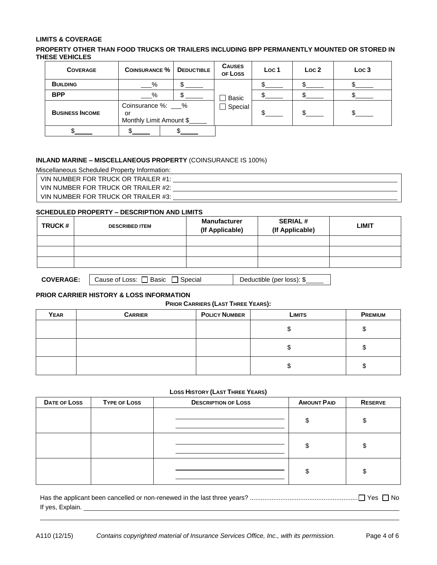#### **LIMITS & COVERAGE**

#### **PROPERTY OTHER THAN FOOD TRUCKS OR TRAILERS INCLUDING BPP PERMANENTLY MOUNTED OR STORED IN THESE VEHICLES**

| <b>COVERAGE</b>        | <b>COINSURANCE %</b>                               | <b>DEDUCTIBLE</b> | <b>CAUSES</b><br>OF LOSS | Loc 1 | Loc <sub>2</sub> | Loc 3 |
|------------------------|----------------------------------------------------|-------------------|--------------------------|-------|------------------|-------|
| <b>BUILDING</b>        | $-\frac{9}{6}$                                     |                   |                          |       |                  |       |
| <b>BPP</b>             | %                                                  |                   | Basic                    |       |                  |       |
| <b>BUSINESS INCOME</b> | Coinsurance %: 9%<br>or<br>Monthly Limit Amount \$ |                   | $\Box$ Special           |       |                  |       |
|                        |                                                    |                   |                          |       |                  |       |

#### **INLAND MARINE – MISCELLANEOUS PROPERTY** (COINSURANCE IS 100%)

Miscellaneous Scheduled Property Information:

VIN NUMBER FOR TRUCK OR TRAILER #1:

VIN NUMBER FOR TRUCK OR TRAILER #2:

VIN NUMBER FOR TRUCK OR TRAILER #3: \[\]

#### **SCHEDULED PROPERTY – DESCRIPTION AND LIMITS**

| <b>TRUCK#</b> | <b>DESCRIBED ITEM</b> | <b>Manufacturer</b><br>(If Applicable) | <b>SERIAL#</b><br>(If Applicable) | <b>LIMIT</b> |
|---------------|-----------------------|----------------------------------------|-----------------------------------|--------------|
|               |                       |                                        |                                   |              |
|               |                       |                                        |                                   |              |
|               |                       |                                        |                                   |              |

|  | <b>COVERAGE:</b> $\bigcup$ Cause of Loss: $\bigcap$ Basic $\bigcap$ Special | Deductible (per loss): \$ |
|--|-----------------------------------------------------------------------------|---------------------------|
|--|-----------------------------------------------------------------------------|---------------------------|

### **PRIOR CARRIER HISTORY & LOSS INFORMATION**

#### **PRIOR CARRIERS (LAST THREE YEARS):**

| YEAR | <b>CARRIER</b> | <b>POLICY NUMBER</b> | <b>LIMITS</b> | <b>PREMIUM</b> |
|------|----------------|----------------------|---------------|----------------|
|      |                |                      | ъD            |                |
|      |                |                      | ง             |                |
|      |                |                      | J             |                |

#### **LOSS HISTORY (LAST THREE YEARS)**

| DATE OF LOSS | <b>TYPE OF LOSS</b> | <b>DESCRIPTION OF LOSS</b> | <b>AMOUNT PAID</b> | <b>RESERVE</b> |
|--------------|---------------------|----------------------------|--------------------|----------------|
|              |                     |                            | \$                 |                |
|              |                     |                            | \$                 |                |
|              |                     |                            | \$                 |                |

| If yes, Explain. |  |
|------------------|--|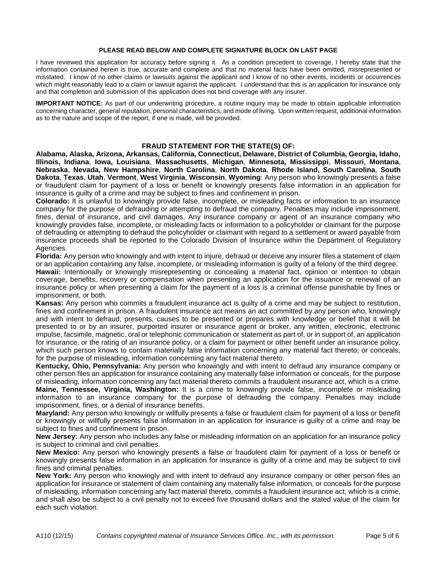#### **PLEASE READ BELOW AND COMPLETE SIGNATURE BLOCK ON LAST PAGE**

I have reviewed this application for accuracy before signing it. As a condition precedent to coverage, I hereby state that the information contained herein is true, accurate and complete and that no material facts have been omitted, misrepresented or misstated. I know of no other claims or lawsuits against the applicant and I know of no other events, incidents or occurrences which might reasonably lead to a claim or lawsuit against the applicant. I understand that this is an application for insurance only and that completion and submission of this application does not bind coverage with any insurer.

**IMPORTANT NOTICE:** As part of our underwriting procedure, a routine inquiry may be made to obtain applicable information concerning character, general reputation, personal characteristics, and mode of living. Upon written request, additional information as to the nature and scope of the report, if one is made, will be provided.

#### **FRAUD STATEMENT FOR THE STATE(S) OF:**

**Alabama, Alaska, Arizona, Arkansas, California, Connecticut, Delaware, District of Columbia, Georgia, Idaho, Illinois, Indiana**, **Iowa, Louisiana**, **Massachusetts**, **Michigan**, **Minnesota, Mississippi**, **Missouri**, **Montana**, **Nebraska**, **Nevada, New Hampshire**, **North Carolina**, **North Dakota**, **Rhode Island, South Carolina**, **South Dakota**, **Texas**, **Utah**, **Vermont**, **West Virginia**, **Wisconsin**, **Wyoming**: Any person who knowingly presents a false or fraudulent claim for payment of a loss or benefit or knowingly presents false information in an application for insurance is guilty of a crime and may be subject to fines and confinement in prison.

**Colorado:** It is unlawful to knowingly provide false, incomplete, or misleading facts or information to an insurance company for the purpose of defrauding or attempting to defraud the company. Penalties may include imprisonment, fines, denial of insurance, and civil damages. Any insurance company or agent of an insurance company who knowingly provides false, incomplete, or misleading facts or information to a policyholder or claimant for the purpose of defrauding or attempting to defraud the policyholder or claimant with regard to a settlement or award payable from insurance proceeds shall be reported to the Colorado Division of Insurance within the Department of Regulatory Agencies.

**Florida:** Any person who knowingly and with intent to injure, defraud or deceive any insurer files a statement of claim or an application containing any false, incomplete, or misleading information is guilty of a felony of the third degree.

**Hawaii:** Intentionally or knowingly misrepresenting or concealing a material fact, opinion or intention to obtain coverage, benefits, recovery or compensation when presenting an application for the issuance or renewal of an insurance policy or when presenting a claim for the payment of a loss is a criminal offense punishable by fines or imprisonment, or both.

**Kansas:** Any person who commits a fraudulent insurance act is guilty of a crime and may be subject to restitution, fines and confinement in prison. A fraudulent insurance act means an act committed by any person who, knowingly and with intent to defraud, presents, causes to be presented or prepares with knowledge or belief that it will be presented to or by an insurer, purported insurer or insurance agent or broker, any written, electronic, electronic impulse, facsimile, magnetic, oral or telephonic communication or statement as part of, or in support of, an application for insurance, or the rating of an insurance policy, or a claim for payment or other benefit under an insurance policy, which such person knows to contain materially false information concerning any material fact thereto; or conceals, for the purpose of misleading, information concerning any fact material thereto.

**Kentucky, Ohio, Pennsylvania:** Any person who knowingly and with intent to defraud any insurance company or other person files an application for insurance containing any materially false information or conceals, for the purpose of misleading, information concerning any fact material thereto commits a fraudulent insurance act, which is a crime. **Maine, Tennessee, Virginia, Washington:** It is a crime to knowingly provide false, incomplete or misleading information to an insurance company for the purpose of defrauding the company. Penalties may include imprisonment, fines, or a denial of insurance benefits.

**Maryland:** Any person who knowingly or willfully presents a false or fraudulent claim for payment of a loss or benefit or knowingly or willfully presents false information in an application for insurance is guilty of a crime and may be subject to fines and confinement in prison.

**New Jersey:** Any person who includes any false or misleading information on an application for an insurance policy is subject to criminal and civil penalties.

**New Mexico:** Any person who knowingly presents a false or fraudulent claim for payment of a loss or benefit or knowingly presents false information in an application for insurance is guilty of a crime and may be subject to civil fines and criminal penalties.

**New York:** Any person who knowingly and with intent to defraud any insurance company or other person files an application for insurance or statement of claim containing any materially false information, or conceals for the purpose of misleading, information concerning any fact material thereto, commits a fraudulent insurance act, which is a crime, and shall also be subject to a civil penalty not to exceed five thousand dollars and the stated value of the claim for each such violation.